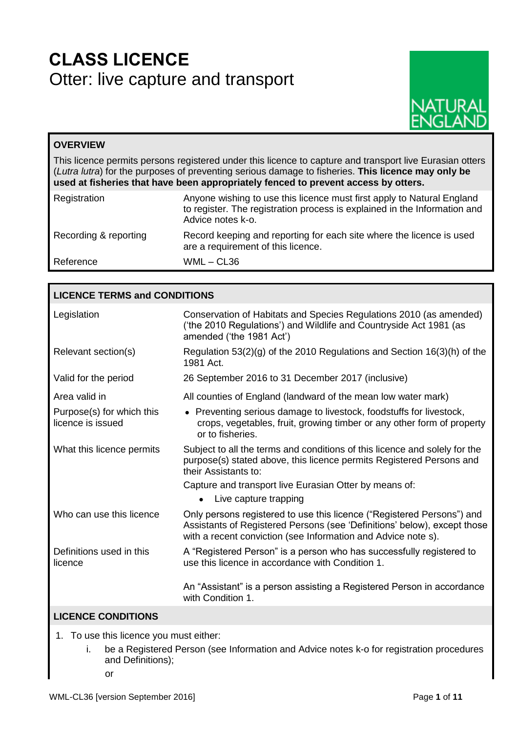# **CLASS LICENCE** Otter: live capture and transport



# **OVERVIEW**

This licence permits persons registered under this licence to capture and transport live Eurasian otters (*Lutra lutra*) for the purposes of preventing serious damage to fisheries. **This licence may only be used at fisheries that have been appropriately fenced to prevent access by otters.**

| Registration          | Anyone wishing to use this licence must first apply to Natural England<br>to register. The registration process is explained in the Information and<br>Advice notes k-o. |
|-----------------------|--------------------------------------------------------------------------------------------------------------------------------------------------------------------------|
| Recording & reporting | Record keeping and reporting for each site where the licence is used<br>are a requirement of this licence.                                                               |
| Reference             | WML – CL36                                                                                                                                                               |

| <b>LICENCE TERMS and CONDITIONS</b>            |                                                                                                                                                                                                                     |  |  |  |
|------------------------------------------------|---------------------------------------------------------------------------------------------------------------------------------------------------------------------------------------------------------------------|--|--|--|
| Legislation                                    | Conservation of Habitats and Species Regulations 2010 (as amended)<br>('the 2010 Regulations') and Wildlife and Countryside Act 1981 (as<br>amended ('the 1981 Act')                                                |  |  |  |
| Relevant section(s)                            | Regulation $53(2)(g)$ of the 2010 Regulations and Section $16(3)(h)$ of the<br>1981 Act.                                                                                                                            |  |  |  |
| Valid for the period                           | 26 September 2016 to 31 December 2017 (inclusive)                                                                                                                                                                   |  |  |  |
| Area valid in                                  | All counties of England (landward of the mean low water mark)                                                                                                                                                       |  |  |  |
| Purpose(s) for which this<br>licence is issued | • Preventing serious damage to livestock, foodstuffs for livestock,<br>crops, vegetables, fruit, growing timber or any other form of property<br>or to fisheries.                                                   |  |  |  |
| What this licence permits                      | Subject to all the terms and conditions of this licence and solely for the<br>purpose(s) stated above, this licence permits Registered Persons and<br>their Assistants to:                                          |  |  |  |
|                                                | Capture and transport live Eurasian Otter by means of:                                                                                                                                                              |  |  |  |
|                                                | Live capture trapping                                                                                                                                                                                               |  |  |  |
| Who can use this licence                       | Only persons registered to use this licence ("Registered Persons") and<br>Assistants of Registered Persons (see 'Definitions' below), except those<br>with a recent conviction (see Information and Advice note s). |  |  |  |
| Definitions used in this<br>licence            | A "Registered Person" is a person who has successfully registered to<br>use this licence in accordance with Condition 1.                                                                                            |  |  |  |
|                                                | An "Assistant" is a person assisting a Registered Person in accordance<br>with Condition 1.                                                                                                                         |  |  |  |
| <b>LICENCE CONDITIONS</b>                      |                                                                                                                                                                                                                     |  |  |  |

- 1. To use this licence you must either:
	- i. be a Registered Person (see Information and Advice notes k-o for registration procedures and Definitions);
		- or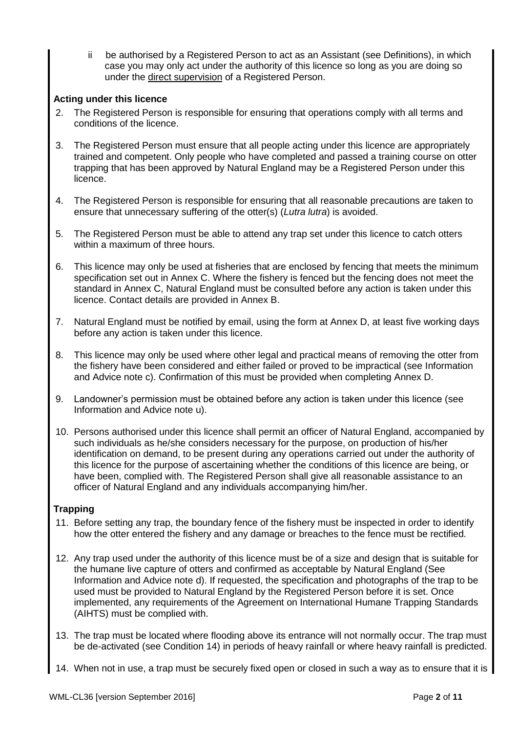ii be authorised by a Registered Person to act as an Assistant (see Definitions), in which case you may only act under the authority of this licence so long as you are doing so under the direct supervision of a Registered Person.

# **Acting under this licence**

- 2. The Registered Person is responsible for ensuring that operations comply with all terms and conditions of the licence.
- 3. The Registered Person must ensure that all people acting under this licence are appropriately trained and competent. Only people who have completed and passed a training course on otter trapping that has been approved by Natural England may be a Registered Person under this licence.
- 4. The Registered Person is responsible for ensuring that all reasonable precautions are taken to ensure that unnecessary suffering of the otter(s) (*Lutra lutra*) is avoided.
- 5. The Registered Person must be able to attend any trap set under this licence to catch otters within a maximum of three hours.
- 6. This licence may only be used at fisheries that are enclosed by fencing that meets the minimum specification set out in Annex C. Where the fishery is fenced but the fencing does not meet the standard in Annex C, Natural England must be consulted before any action is taken under this licence. Contact details are provided in Annex B.
- 7. Natural England must be notified by email, using the form at Annex D, at least five working days before any action is taken under this licence.
- 8. This licence may only be used where other legal and practical means of removing the otter from the fishery have been considered and either failed or proved to be impractical (see Information and Advice note c). Confirmation of this must be provided when completing Annex D.
- 9. Landowner's permission must be obtained before any action is taken under this licence (see Information and Advice note u).
- 10. Persons authorised under this licence shall permit an officer of Natural England, accompanied by such individuals as he/she considers necessary for the purpose, on production of his/her identification on demand, to be present during any operations carried out under the authority of this licence for the purpose of ascertaining whether the conditions of this licence are being, or have been, complied with. The Registered Person shall give all reasonable assistance to an officer of Natural England and any individuals accompanying him/her.

## **Trapping**

- 11. Before setting any trap, the boundary fence of the fishery must be inspected in order to identify how the otter entered the fishery and any damage or breaches to the fence must be rectified.
- 12. Any trap used under the authority of this licence must be of a size and design that is suitable for the humane live capture of otters and confirmed as acceptable by Natural England (See Information and Advice note d). If requested, the specification and photographs of the trap to be used must be provided to Natural England by the Registered Person before it is set. Once implemented, any requirements of the Agreement on International Humane Trapping Standards (AIHTS) must be complied with.
- 13. The trap must be located where flooding above its entrance will not normally occur. The trap must be de-activated (see Condition 14) in periods of heavy rainfall or where heavy rainfall is predicted.
- 14. When not in use, a trap must be securely fixed open or closed in such a way as to ensure that it is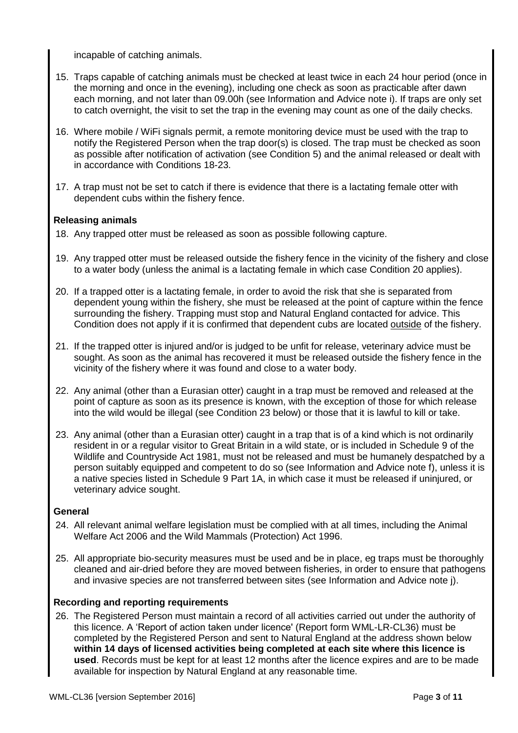incapable of catching animals.

- 15. Traps capable of catching animals must be checked at least twice in each 24 hour period (once in the morning and once in the evening), including one check as soon as practicable after dawn each morning, and not later than 09.00h (see Information and Advice note i). If traps are only set to catch overnight, the visit to set the trap in the evening may count as one of the daily checks.
- 16. Where mobile / WiFi signals permit, a remote monitoring device must be used with the trap to notify the Registered Person when the trap door(s) is closed. The trap must be checked as soon as possible after notification of activation (see Condition 5) and the animal released or dealt with in accordance with Conditions 18-23.
- 17. A trap must not be set to catch if there is evidence that there is a lactating female otter with dependent cubs within the fishery fence.

## **Releasing animals**

- 18. Any trapped otter must be released as soon as possible following capture.
- 19. Any trapped otter must be released outside the fishery fence in the vicinity of the fishery and close to a water body (unless the animal is a lactating female in which case Condition 20 applies).
- 20. If a trapped otter is a lactating female, in order to avoid the risk that she is separated from dependent young within the fishery, she must be released at the point of capture within the fence surrounding the fishery. Trapping must stop and Natural England contacted for advice. This Condition does not apply if it is confirmed that dependent cubs are located outside of the fishery.
- 21. If the trapped otter is injured and/or is judged to be unfit for release, veterinary advice must be sought. As soon as the animal has recovered it must be released outside the fishery fence in the vicinity of the fishery where it was found and close to a water body.
- 22. Any animal (other than a Eurasian otter) caught in a trap must be removed and released at the point of capture as soon as its presence is known, with the exception of those for which release into the wild would be illegal (see Condition 23 below) or those that it is lawful to kill or take.
- 23. Any animal (other than a Eurasian otter) caught in a trap that is of a kind which is not ordinarily resident in or a regular visitor to Great Britain in a wild state, or is included in Schedule 9 of the Wildlife and Countryside Act 1981, must not be released and must be humanely despatched by a person suitably equipped and competent to do so (see Information and Advice note f), unless it is a native species listed in Schedule 9 Part 1A, in which case it must be released if uninjured, or veterinary advice sought.

## **General**

- 24. All relevant animal welfare legislation must be complied with at all times, including the Animal Welfare Act 2006 and the Wild Mammals (Protection) Act 1996.
- 25. All appropriate bio-security measures must be used and be in place, eg traps must be thoroughly cleaned and air-dried before they are moved between fisheries, in order to ensure that pathogens and invasive species are not transferred between sites (see Information and Advice note j).

## **Recording and reporting requirements**

26. The Registered Person must maintain a record of all activities carried out under the authority of this licence. A 'Report of action taken under licence' (Report form WML-LR-CL36) must be completed by the Registered Person and sent to Natural England at the address shown below **within 14 days of licensed activities being completed at each site where this licence is used**. Records must be kept for at least 12 months after the licence expires and are to be made available for inspection by Natural England at any reasonable time.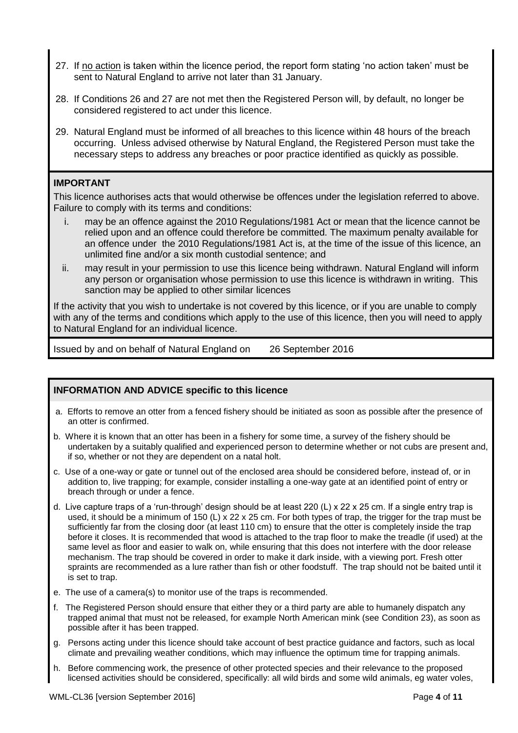- 27. If no action is taken within the licence period, the report form stating 'no action taken' must be sent to Natural England to arrive not later than 31 January.
- 28. If Conditions 26 and 27 are not met then the Registered Person will, by default, no longer be considered registered to act under this licence.
- 29. Natural England must be informed of all breaches to this licence within 48 hours of the breach occurring. Unless advised otherwise by Natural England, the Registered Person must take the necessary steps to address any breaches or poor practice identified as quickly as possible.

# **IMPORTANT**

This licence authorises acts that would otherwise be offences under the legislation referred to above. Failure to comply with its terms and conditions:

- i. may be an offence against the 2010 Regulations/1981 Act or mean that the licence cannot be relied upon and an offence could therefore be committed. The maximum penalty available for an offence under the 2010 Regulations/1981 Act is, at the time of the issue of this licence, an unlimited fine and/or a six month custodial sentence; and
- ii. may result in your permission to use this licence being withdrawn. Natural England will inform any person or organisation whose permission to use this licence is withdrawn in writing. This sanction may be applied to other similar licences

If the activity that you wish to undertake is not covered by this licence, or if you are unable to comply with any of the terms and conditions which apply to the use of this licence, then you will need to apply to Natural England for an individual licence.

Issued by and on behalf of Natural England on 26 September 2016

# **INFORMATION AND ADVICE specific to this licence**

- a. Efforts to remove an otter from a fenced fishery should be initiated as soon as possible after the presence of an otter is confirmed.
- b. Where it is known that an otter has been in a fishery for some time, a survey of the fishery should be undertaken by a suitably qualified and experienced person to determine whether or not cubs are present and, if so, whether or not they are dependent on a natal holt.
- c. Use of a one-way or gate or tunnel out of the enclosed area should be considered before, instead of, or in addition to, live trapping; for example, consider installing a one-way gate at an identified point of entry or breach through or under a fence.
- d. Live capture traps of a 'run-through' design should be at least 220 (L) x 22 x 25 cm. If a single entry trap is used, it should be a minimum of 150 (L) x 22 x 25 cm. For both types of trap, the trigger for the trap must be sufficiently far from the closing door (at least 110 cm) to ensure that the otter is completely inside the trap before it closes. It is recommended that wood is attached to the trap floor to make the treadle (if used) at the same level as floor and easier to walk on, while ensuring that this does not interfere with the door release mechanism. The trap should be covered in order to make it dark inside, with a viewing port. Fresh otter spraints are recommended as a lure rather than fish or other foodstuff. The trap should not be baited until it is set to trap.
- e. The use of a camera(s) to monitor use of the traps is recommended.
- f. The Registered Person should ensure that either they or a third party are able to humanely dispatch any trapped animal that must not be released, for example North American mink (see Condition 23), as soon as possible after it has been trapped.
- g. Persons acting under this licence should take account of best practice guidance and factors, such as local climate and prevailing weather conditions, which may influence the optimum time for trapping animals.
- h. Before commencing work, the presence of other protected species and their relevance to the proposed licensed activities should be considered, specifically: all wild birds and some wild animals, eg water voles,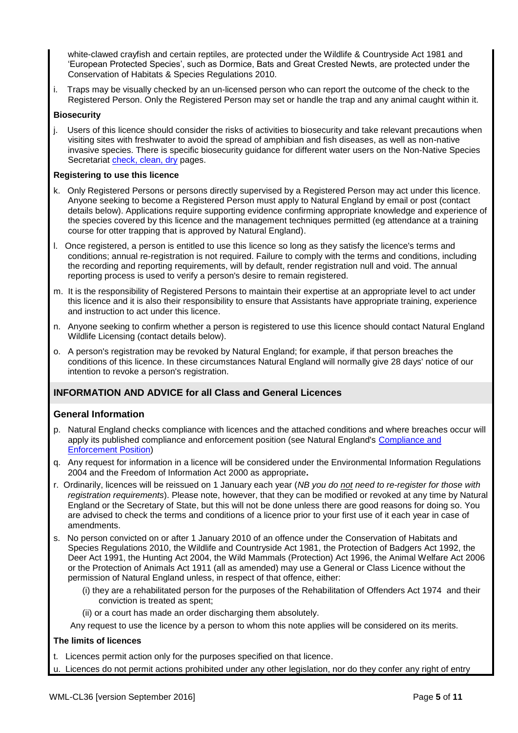white-clawed crayfish and certain reptiles, are protected under the Wildlife & Countryside Act 1981 and 'European Protected Species', such as Dormice, Bats and Great Crested Newts, are protected under the Conservation of Habitats & Species Regulations 2010.

i. Traps may be visually checked by an un-licensed person who can report the outcome of the check to the Registered Person. Only the Registered Person may set or handle the trap and any animal caught within it.

#### **Biosecurity**

j. Users of this licence should consider the risks of activities to biosecurity and take relevant precautions when visiting sites with freshwater to avoid the spread of amphibian and fish diseases, as well as non-native invasive species. There is specific biosecurity guidance for different water users on the Non-Native Species Secretariat [check, clean, dry](http://www.nonnativespecies.org/checkcleandry/) pages.

#### **Registering to use this licence**

- k. Only Registered Persons or persons directly supervised by a Registered Person may act under this licence. Anyone seeking to become a Registered Person must apply to Natural England by email or post (contact details below). Applications require supporting evidence confirming appropriate knowledge and experience of the species covered by this licence and the management techniques permitted (eg attendance at a training course for otter trapping that is approved by Natural England).
- l. Once registered, a person is entitled to use this licence so long as they satisfy the licence's terms and conditions; annual re-registration is not required. Failure to comply with the terms and conditions, including the recording and reporting requirements, will by default, render registration null and void. The annual reporting process is used to verify a person's desire to remain registered.
- m. It is the responsibility of Registered Persons to maintain their expertise at an appropriate level to act under this licence and it is also their responsibility to ensure that Assistants have appropriate training, experience and instruction to act under this licence.
- n. Anyone seeking to confirm whether a person is registered to use this licence should contact Natural England Wildlife Licensing (contact details below).
- o. A person's registration may be revoked by Natural England; for example, if that person breaches the conditions of this licence. In these circumstances Natural England will normally give 28 days' notice of our intention to revoke a person's registration.

# **INFORMATION AND ADVICE for all Class and General Licences**

## **General Information**

- p. Natural England checks compliance with licences and the attached conditions and where breaches occur will apply its published compliance and enforcement position (see Natural England's [Compliance and](https://www.gov.uk/enforcement-laws-advice-on-protecting-the-natural-environment-in-england)  [Enforcement Position\)](https://www.gov.uk/enforcement-laws-advice-on-protecting-the-natural-environment-in-england)
- q. Any request for information in a licence will be considered under the Environmental Information Regulations 2004 and the Freedom of Information Act 2000 as appropriate**.**
- r. Ordinarily, licences will be reissued on 1 January each year (*NB you do not need to re-register for those with registration requirements*). Please note, however, that they can be modified or revoked at any time by Natural England or the Secretary of State, but this will not be done unless there are good reasons for doing so. You are advised to check the terms and conditions of a licence prior to your first use of it each year in case of amendments.
- s. No person convicted on or after 1 January 2010 of an offence under the Conservation of Habitats and Species Regulations 2010, the Wildlife and Countryside Act 1981, the Protection of Badgers Act 1992, the Deer Act 1991, the Hunting Act 2004, the Wild Mammals (Protection) Act 1996, the Animal Welfare Act 2006 or the Protection of Animals Act 1911 (all as amended) may use a General or Class Licence without the permission of Natural England unless, in respect of that offence, either:
	- (i) they are a rehabilitated person for the purposes of the Rehabilitation of Offenders Act 1974 and their conviction is treated as spent;
	- (ii) or a court has made an order discharging them absolutely.

Any request to use the licence by a person to whom this note applies will be considered on its merits.

#### **The limits of licences**

- t. Licences permit action only for the purposes specified on that licence.
- u. Licences do not permit actions prohibited under any other legislation, nor do they confer any right of entry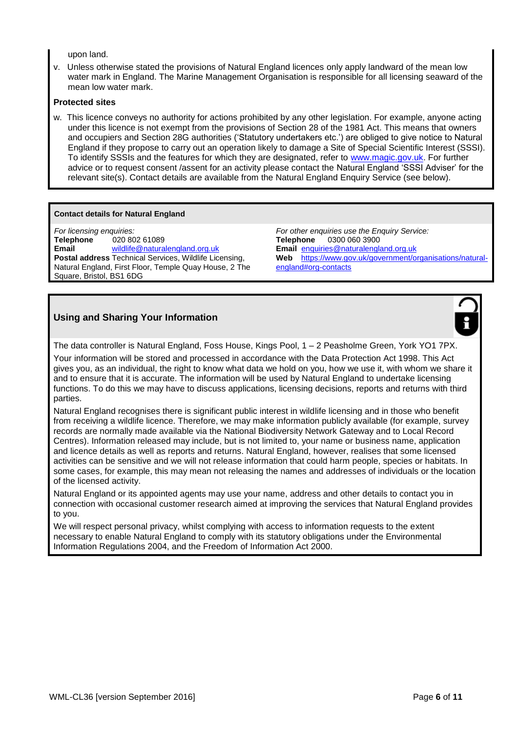upon land.

v. Unless otherwise stated the provisions of Natural England licences only apply landward of the mean low water mark in England. The Marine Management Organisation is responsible for all licensing seaward of the mean low water mark.

#### **Protected sites**

w. This licence conveys no authority for actions prohibited by any other legislation. For example, anyone acting under this licence is not exempt from the provisions of Section 28 of the 1981 Act. This means that owners and occupiers and Section 28G authorities ('Statutory undertakers etc.') are obliged to give notice to Natural England if they propose to carry out an operation likely to damage a Site of Special Scientific Interest (SSSI). To identify SSSIs and the features for which they are designated, refer to [www.magic.gov.uk.](file:///C:/Users/m146641/AppData/Local/Microsoft/Windows/Temporary%20Internet%20Files/Content.Outlook/OXY6ZHNY/www.magic.gov.uk) For further advice or to request consent /assent for an activity please contact the Natural England 'SSSI Adviser' for the relevant site(s). Contact details are available from the Natural England Enquiry Service (see below).

#### **Contact details for Natural England**

*For licensing enquiries:* **Telephone** 020 802 61089 **Email** [wildlife@naturalengland.org.uk](mailto:wildlife@naturalengland.org.uk) **Postal address** Technical Services, Wildlife Licensing, Natural England, First Floor, Temple Quay House, 2 The Square, Bristol, BS1 6DG

*For other enquiries use the Enquiry Service:* **Telephone** 0300 060 3900 **Email** [enquiries@naturalengland.org.uk](mailto:enquiries@naturalengland.org.uk) **Web** [https://www.gov.uk/government/organisations/natural](https://www.gov.uk/government/organisations/natural-england#org-contacts)[england#org-contacts](https://www.gov.uk/government/organisations/natural-england#org-contacts)

# **Using and Sharing Your Information**



The data controller is Natural England, Foss House, Kings Pool, 1 – 2 Peasholme Green, York YO1 7PX.

Your information will be stored and processed in accordance with the Data Protection Act 1998. This Act gives you, as an individual, the right to know what data we hold on you, how we use it, with whom we share it and to ensure that it is accurate. The information will be used by Natural England to undertake licensing functions. To do this we may have to discuss applications, licensing decisions, reports and returns with third parties.

Natural England recognises there is significant public interest in wildlife licensing and in those who benefit from receiving a wildlife licence. Therefore, we may make information publicly available (for example, survey records are normally made available via the National Biodiversity Network Gateway and to Local Record Centres). Information released may include, but is not limited to, your name or business name, application and licence details as well as reports and returns. Natural England, however, realises that some licensed activities can be sensitive and we will not release information that could harm people, species or habitats. In some cases, for example, this may mean not releasing the names and addresses of individuals or the location of the licensed activity.

Natural England or its appointed agents may use your name, address and other details to contact you in connection with occasional customer research aimed at improving the services that Natural England provides to you.

We will respect personal privacy, whilst complying with access to information requests to the extent necessary to enable Natural England to comply with its statutory obligations under the Environmental Information Regulations 2004, and the Freedom of Information Act 2000.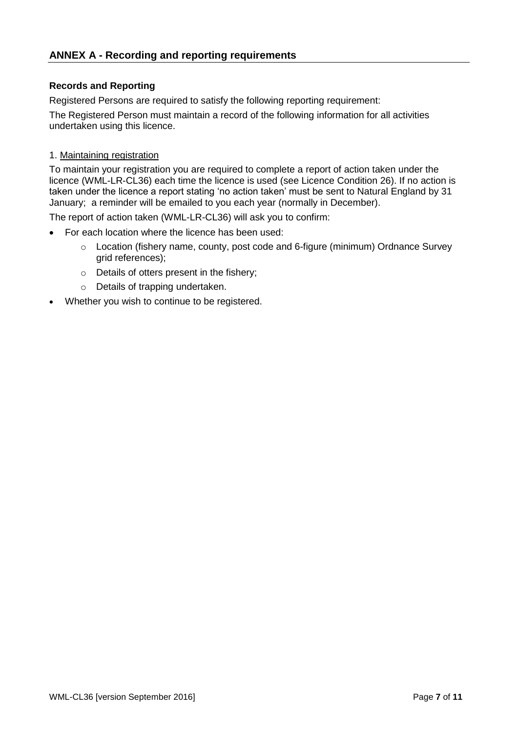# **Records and Reporting**

Registered Persons are required to satisfy the following reporting requirement:

The Registered Person must maintain a record of the following information for all activities undertaken using this licence.

# 1. Maintaining registration

To maintain your registration you are required to complete a report of action taken under the licence (WML-LR-CL36) each time the licence is used (see Licence Condition 26). If no action is taken under the licence a report stating 'no action taken' must be sent to Natural England by 31 January; a reminder will be emailed to you each year (normally in December).

The report of action taken (WML-LR-CL36) will ask you to confirm:

- For each location where the licence has been used:
	- o Location (fishery name, county, post code and 6-figure (minimum) Ordnance Survey grid references);
	- o Details of otters present in the fishery;
	- o Details of trapping undertaken.
- Whether you wish to continue to be registered.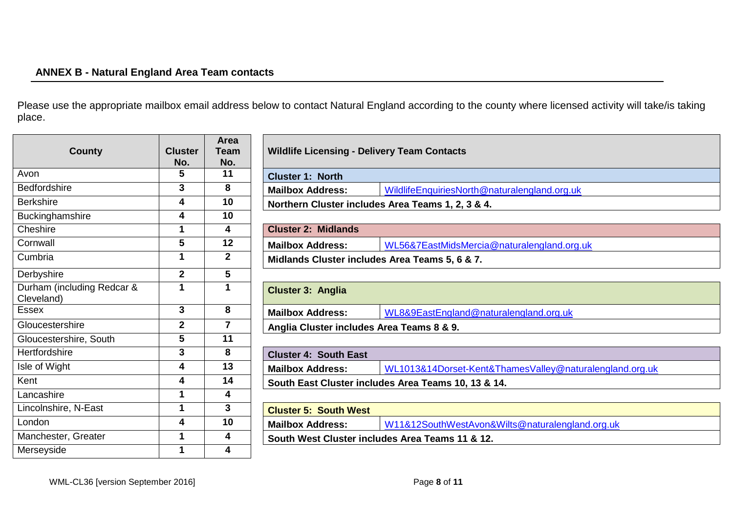# **ANNEX B - Natural England Area Team contacts**

Please use the appropriate mailbox email address below to contact Natural England according to the county where licensed activity will take/is taking place.

| <b>County</b>                            | <b>Cluster</b>          | Area<br><b>Team</b>     | <b>Wildlife Licensing - Delivery Team Contacts</b>                    |                                                         |  |
|------------------------------------------|-------------------------|-------------------------|-----------------------------------------------------------------------|---------------------------------------------------------|--|
| Avon                                     | No.<br>5                | No.<br>11               | <b>Cluster 1: North</b>                                               |                                                         |  |
| <b>Bedfordshire</b>                      | 3                       | 8                       | <b>Mailbox Address:</b>                                               | WildlifeEnquiriesNorth@naturalengland.org.uk            |  |
| <b>Berkshire</b>                         | 4                       | 10                      | Northern Cluster includes Area Teams 1, 2, 3 & 4.                     |                                                         |  |
| Buckinghamshire                          | 4                       | 10                      |                                                                       |                                                         |  |
| Cheshire                                 | 1                       | 4                       | <b>Cluster 2: Midlands</b>                                            |                                                         |  |
| Cornwall                                 | 5                       | 12                      | <b>Mailbox Address:</b><br>WL56&7EastMidsMercia@naturalengland.org.uk |                                                         |  |
| Cumbria                                  | 1                       | $\mathbf 2$             | Midlands Cluster includes Area Teams 5, 6 & 7.                        |                                                         |  |
| Derbyshire                               | $\overline{\mathbf{2}}$ | 5                       |                                                                       |                                                         |  |
| Durham (including Redcar &<br>Cleveland) | 1                       |                         | <b>Cluster 3: Anglia</b>                                              |                                                         |  |
| <b>Essex</b>                             | 3                       | 8                       | <b>Mailbox Address:</b>                                               | WL8&9EastEngland@naturalengland.org.uk                  |  |
| Gloucestershire                          | $\mathbf 2$             | $\overline{\mathbf{r}}$ | Anglia Cluster includes Area Teams 8 & 9.                             |                                                         |  |
| Gloucestershire, South                   | 5                       | 11                      |                                                                       |                                                         |  |
| Hertfordshire                            | 3                       | 8                       | <b>Cluster 4: South East</b>                                          |                                                         |  |
| Isle of Wight                            | 4                       | 13                      | <b>Mailbox Address:</b>                                               | WL1013&14Dorset-Kent&ThamesValley@naturalengland.org.uk |  |
| Kent                                     | 4                       | 14                      | South East Cluster includes Area Teams 10, 13 & 14.                   |                                                         |  |
| Lancashire                               | 1                       | 4                       |                                                                       |                                                         |  |
| Lincolnshire, N-East                     | 1                       | 3                       | <b>Cluster 5: South West</b>                                          |                                                         |  |
| London                                   | 4                       | 10                      | <b>Mailbox Address:</b>                                               | W11&12SouthWestAvon&Wilts@naturalengland.org.uk         |  |
| Manchester, Greater                      | 1                       | 4                       | South West Cluster includes Area Teams 11 & 12.                       |                                                         |  |
| Merseyside                               | 1                       | 4                       |                                                                       |                                                         |  |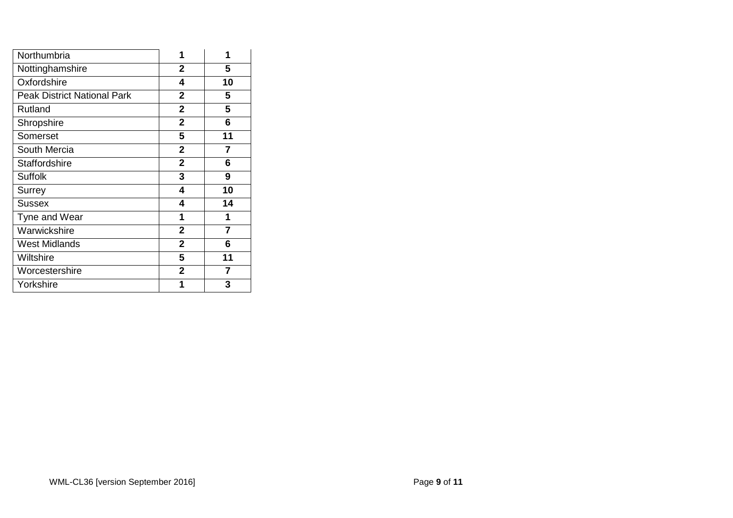| Northumbria                        | 1              | 1              |
|------------------------------------|----------------|----------------|
| Nottinghamshire                    | $\mathbf{2}$   | 5              |
| Oxfordshire                        | 4              | 10             |
| <b>Peak District National Park</b> | $\overline{2}$ | 5              |
| Rutland                            | $\overline{2}$ | 5              |
| Shropshire                         | $\overline{2}$ | 6              |
| Somerset                           | 5              | 11             |
| South Mercia                       | $\mathbf{2}$   | 7              |
| <b>Staffordshire</b>               | $\overline{2}$ | 6              |
| <b>Suffolk</b>                     | 3              | 9              |
| Surrey                             | 4              | 10             |
| <b>Sussex</b>                      | 4              | 14             |
| Tyne and Wear                      | 1              | 1              |
| Warwickshire                       | $\mathbf{2}$   | 7              |
| <b>West Midlands</b>               | $\overline{2}$ | 6              |
| Wiltshire                          | 5              | 11             |
| Worcestershire                     | $\overline{2}$ | $\overline{7}$ |
| Yorkshire                          | 1              | 3              |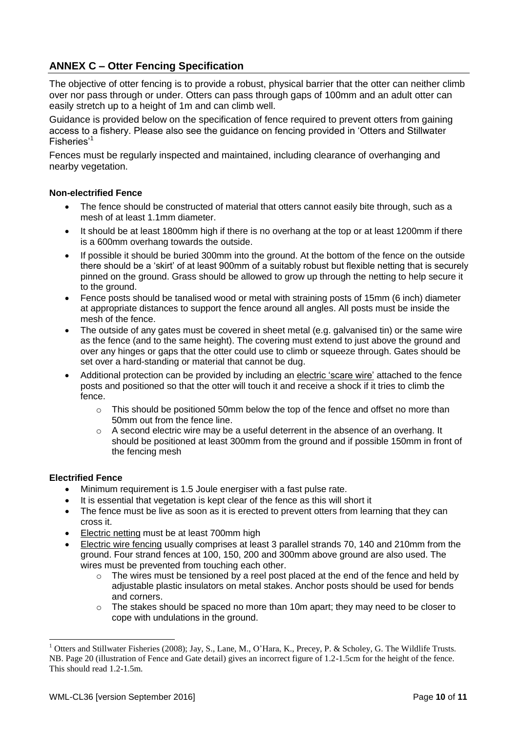# **ANNEX C – Otter Fencing Specification**

The objective of otter fencing is to provide a robust, physical barrier that the otter can neither climb over nor pass through or under. Otters can pass through gaps of 100mm and an adult otter can easily stretch up to a height of 1m and can climb well.

Guidance is provided below on the specification of fence required to prevent otters from gaining access to a fishery. Please also see the guidance on fencing provided in 'Otters and Stillwater Fisheries'<sup>1</sup>

Fences must be regularly inspected and maintained, including clearance of overhanging and nearby vegetation.

#### **Non-electrified Fence**

- The fence should be constructed of material that otters cannot easily bite through, such as a mesh of at least 1.1mm diameter.
- It should be at least 1800mm high if there is no overhang at the top or at least 1200mm if there is a 600mm overhang towards the outside.
- If possible it should be buried 300mm into the ground. At the bottom of the fence on the outside there should be a 'skirt' of at least 900mm of a suitably robust but flexible netting that is securely pinned on the ground. Grass should be allowed to grow up through the netting to help secure it to the ground.
- Fence posts should be tanalised wood or metal with straining posts of 15mm (6 inch) diameter at appropriate distances to support the fence around all angles. All posts must be inside the mesh of the fence.
- The outside of any gates must be covered in sheet metal (e.g. galvanised tin) or the same wire as the fence (and to the same height). The covering must extend to just above the ground and over any hinges or gaps that the otter could use to climb or squeeze through. Gates should be set over a hard-standing or material that cannot be dug.
- Additional protection can be provided by including an electric 'scare wire' attached to the fence posts and positioned so that the otter will touch it and receive a shock if it tries to climb the fence.
	- $\circ$  This should be positioned 50mm below the top of the fence and offset no more than 50mm out from the fence line.
	- $\circ$  A second electric wire may be a useful deterrent in the absence of an overhang. It should be positioned at least 300mm from the ground and if possible 150mm in front of the fencing mesh

#### **Electrified Fence**

1

- Minimum requirement is 1.5 Joule energiser with a fast pulse rate.
- It is essential that vegetation is kept clear of the fence as this will short it
- The fence must be live as soon as it is erected to prevent otters from learning that they can cross it.
- Electric netting must be at least 700mm high
- Electric wire fencing usually comprises at least 3 parallel strands 70, 140 and 210mm from the ground. Four strand fences at 100, 150, 200 and 300mm above ground are also used. The wires must be prevented from touching each other.
	- o The wires must be tensioned by a reel post placed at the end of the fence and held by adjustable plastic insulators on metal stakes. Anchor posts should be used for bends and corners.
	- $\circ$  The stakes should be spaced no more than 10m apart; they may need to be closer to cope with undulations in the ground.

<sup>&</sup>lt;sup>1</sup> Otters and Stillwater Fisheries (2008); Jay, S., Lane, M., O'Hara, K., Precey, P. & Scholey, G. The Wildlife Trusts. NB. Page 20 (illustration of Fence and Gate detail) gives an incorrect figure of 1.2-1.5cm for the height of the fence. This should read 1.2-1.5m.